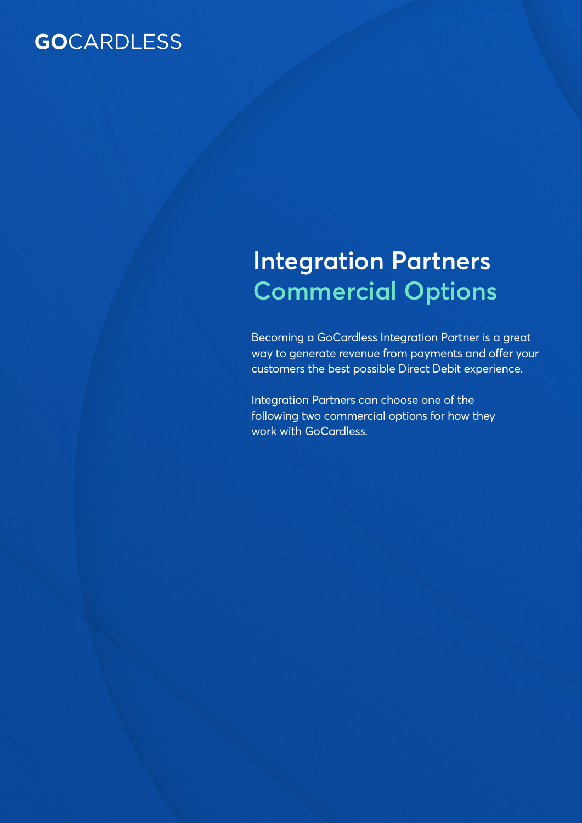# **GO**CARDLESS

# **Integration Partners Commercial Options**

Becoming a GoCardless Integration Partner is a great way to generate revenue from payments and offer your customers the best possible Direct Debit experience.

Integration Partners can choose one of the following two commercial options for how they work with GoCardless.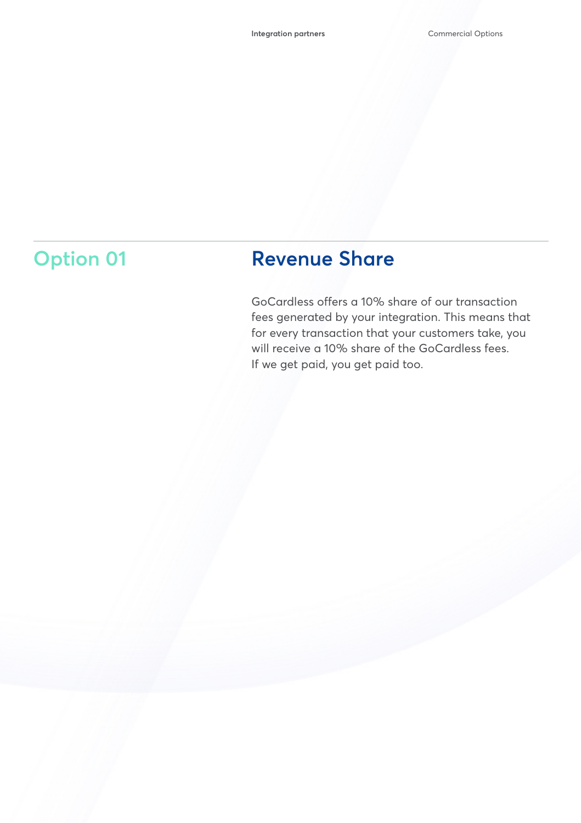# **Option 01**

## **Revenue Share**

GoCardless offers a 10% share of our transaction fees generated by your integration. This means that for every transaction that your customers take, you will receive a 10% share of the GoCardless fees. If we get paid, you get paid too.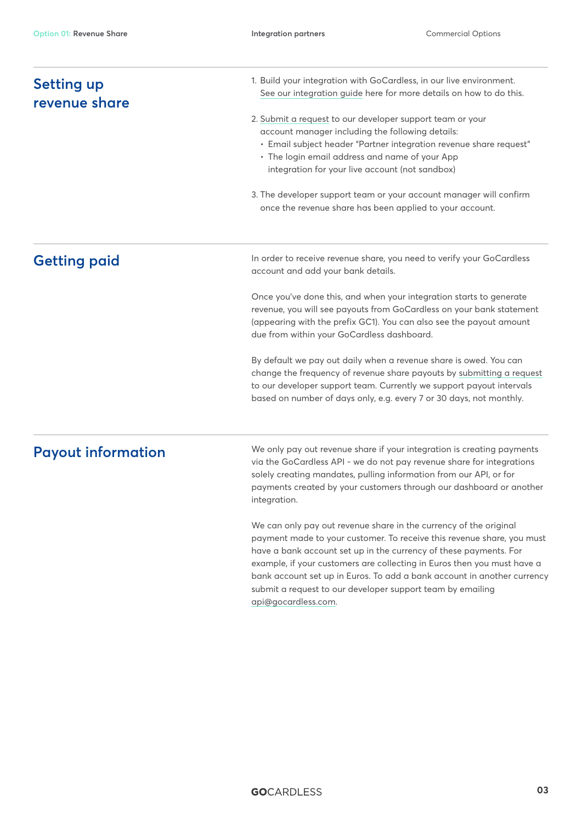| <b>Setting up</b><br>revenue share | 1. Build your integration with GoCardless, in our live environment.<br>See our integration guide here for more details on how to do this.<br>2. Submit a request to our developer support team or your<br>account manager including the following details:<br>· Email subject header "Partner integration revenue share request"<br>• The login email address and name of your App<br>integration for your live account (not sandbox)                       |
|------------------------------------|-------------------------------------------------------------------------------------------------------------------------------------------------------------------------------------------------------------------------------------------------------------------------------------------------------------------------------------------------------------------------------------------------------------------------------------------------------------|
|                                    |                                                                                                                                                                                                                                                                                                                                                                                                                                                             |
|                                    | 3. The developer support team or your account manager will confirm<br>once the revenue share has been applied to your account.                                                                                                                                                                                                                                                                                                                              |
| <b>Getting paid</b>                | In order to receive revenue share, you need to verify your GoCardless<br>account and add your bank details.                                                                                                                                                                                                                                                                                                                                                 |
|                                    | Once you've done this, and when your integration starts to generate<br>revenue, you will see payouts from GoCardless on your bank statement<br>(appearing with the prefix GC1). You can also see the payout amount<br>due from within your GoCardless dashboard.                                                                                                                                                                                            |
|                                    | By default we pay out daily when a revenue share is owed. You can<br>change the frequency of revenue share payouts by submitting a request<br>to our developer support team. Currently we support payout intervals<br>based on number of days only, e.g. every 7 or 30 days, not monthly.                                                                                                                                                                   |
| <b>Payout information</b>          | We only pay out revenue share if your integration is creating payments<br>via the GoCardless API - we do not pay revenue share for integrations<br>solely creating mandates, pulling information from our API, or for<br>payments created by your customers through our dashboard or another<br>integration.                                                                                                                                                |
|                                    | We can only pay out revenue share in the currency of the original<br>payment made to your customer. To receive this revenue share, you must<br>have a bank account set up in the currency of these payments. For<br>example, if your customers are collecting in Euros then you must have a<br>bank account set up in Euros. To add a bank account in another currency<br>submit a request to our developer support team by emailing<br>api@gocardless.com. |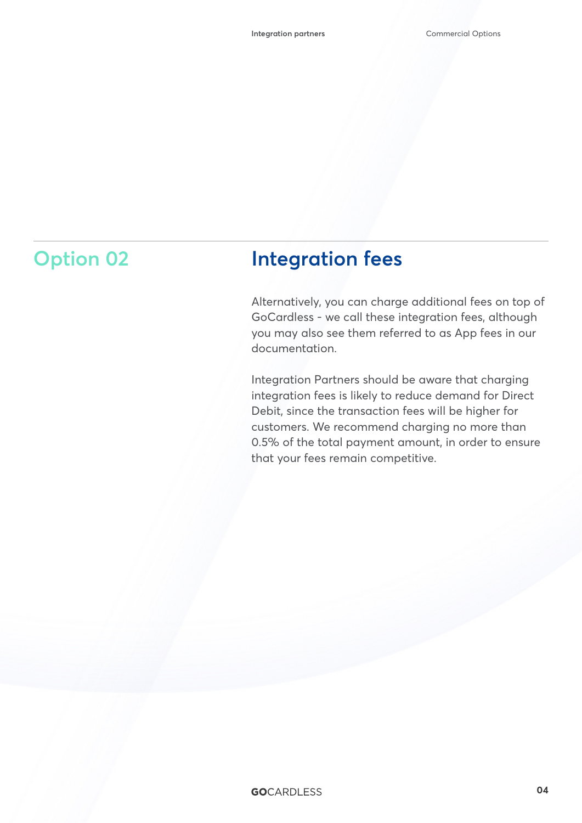### **Option 02 Integration fees**

Alternatively, you can charge additional fees on top of GoCardless - we call these integration fees, although you may also see them referred to as App fees in our documentation.

Integration Partners should be aware that charging integration fees is likely to reduce demand for Direct Debit, since the transaction fees will be higher for customers. We recommend charging no more than 0.5% of the total payment amount, in order to ensure that your fees remain competitive.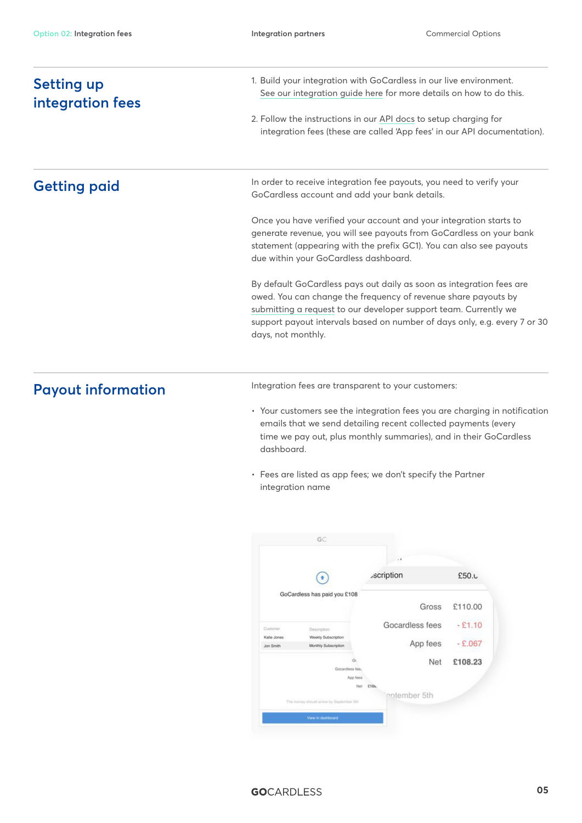| <b>Setting up</b><br>integration fees                                                                                                                                                                                                                                                                         | 1. Build your integration with GoCardless in our live environment.<br>See our integration guide here for more details on how to do this.<br>2. Follow the instructions in our API docs to setup charging for<br>integration fees (these are called 'App fees' in our API documentation). |
|---------------------------------------------------------------------------------------------------------------------------------------------------------------------------------------------------------------------------------------------------------------------------------------------------------------|------------------------------------------------------------------------------------------------------------------------------------------------------------------------------------------------------------------------------------------------------------------------------------------|
|                                                                                                                                                                                                                                                                                                               |                                                                                                                                                                                                                                                                                          |
| Once you have verified your account and your integration starts to<br>generate revenue, you will see payouts from GoCardless on your bank<br>statement (appearing with the prefix GC1). You can also see payouts<br>due within your GoCardless dashboard.                                                     |                                                                                                                                                                                                                                                                                          |
| By default GoCardless pays out daily as soon as integration fees are<br>owed. You can change the frequency of revenue share payouts by<br>submitting a request to our developer support team. Currently we<br>support payout intervals based on number of days only, e.g. every 7 or 30<br>days, not monthly. |                                                                                                                                                                                                                                                                                          |
| <b>Payout information</b>                                                                                                                                                                                                                                                                                     | Integration fees are transparent to your customers:                                                                                                                                                                                                                                      |
|                                                                                                                                                                                                                                                                                                               | • Your customers see the integration fees you are charging in notification<br>emails that we send detailing recent collected payments (every<br>time we pay out, plus monthly summaries), and in their GoCardless<br>dashboard.                                                          |
|                                                                                                                                                                                                                                                                                                               | • Fees are listed as app fees; we don't specify the Partner                                                                                                                                                                                                                              |